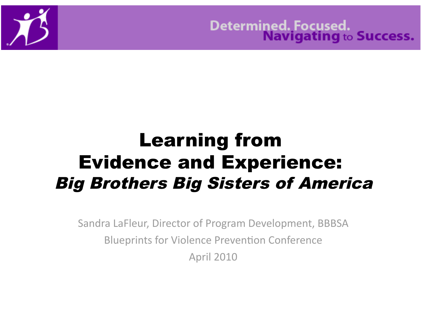

Determined. Focused.<br>Navigating to Success.

### Learning from Evidence and Experience: Big Brothers Big Sisters of America

Sandra
LaFleur,
Director
of
Program
Development,
BBBSA Blueprints for Violence Prevention Conference April
2010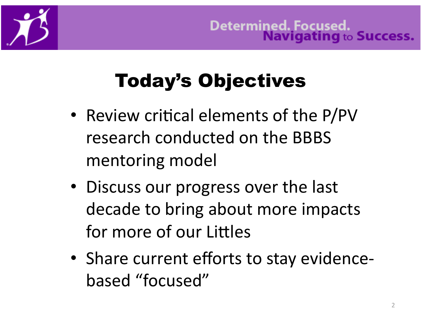

# Today's Objectives

- Review critical elements of the P/PV research
conducted
on
the
BBBS mentoring
model
- Discuss our progress over the last decade
to
bring
about
more
impacts for more of our Littles
- Share current efforts to stay evidencebased
"focused"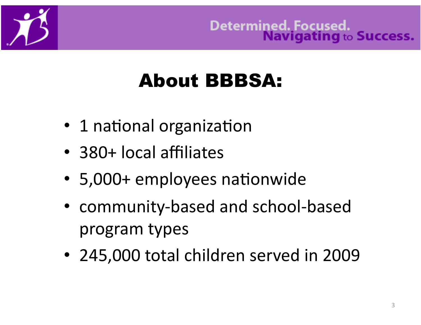

### About BBBSA:

- 1 national organization
- 380+
local
affiliates
- 5,000+ employees nationwide
- community‐based
and
school‐based program
types
- 245,000 total children served in 2009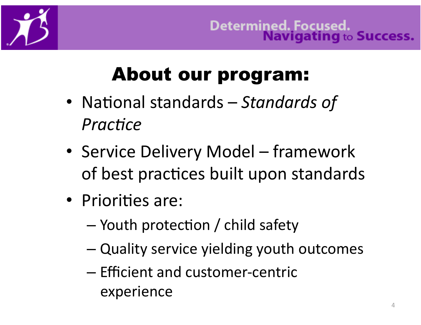

### **About our program:**

- National standards Standards of Practice
- Service Delivery Model framework of best practices built upon standards
- Priorities are:
	- Youth protection / child safety
	- Quality service yielding youth outcomes
	- Efficient and customer-centric experience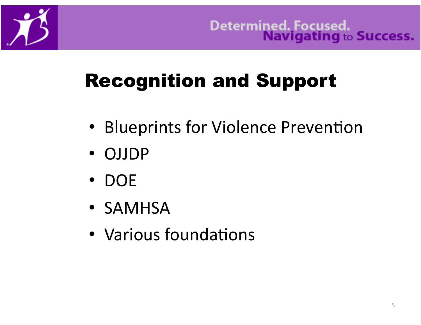# **Recognition and Support**

- Blueprints for Violence Prevention
- OJJDP
- $\bullet$  DOE
- SAMHSA
- Various foundations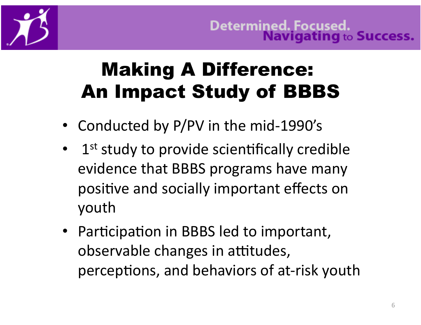

### Making A Difference: An Impact Study of BBBS

- Conducted by P/PV in the mid-1990's
- 1<sup>st</sup> study to provide scientifically credible evidence
that
BBBS
programs
have
many positive and socially important effects on youth
- Participation in BBBS led to important, observable changes in attitudes, perceptions, and behaviors of at-risk youth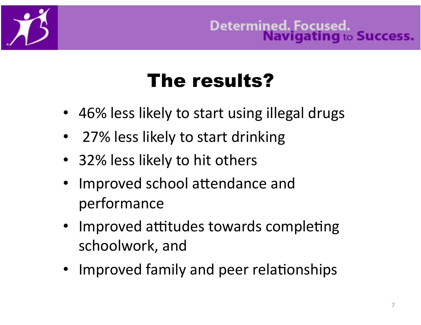

## The results?

- 46% less likely to start using illegal drugs
- 27% less likely to start drinking
- 32% less likely to hit others
- Improved school attendance and performance
- Improved attitudes towards completing schoolwork,
and
- Improved family and peer relationships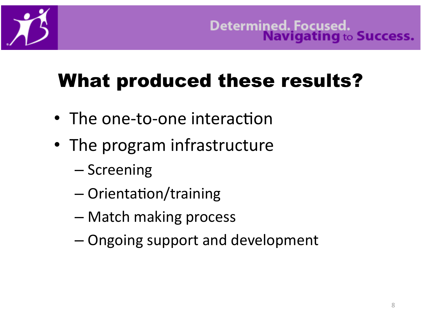# What produced these results?

- The one-to-one interaction
- The
program
infrastructure
	- Screening
	- $-$  Orientation/training
	- Match
	making
	process
	- Ongoing
	support
	and
	development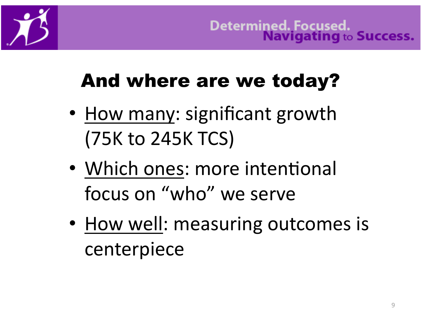

# And where are we today?

- How many: significant growth (75K
to
245K
TCS)
- Which ones: more intentional focus
on
"who"
we
serve
- How well: measuring outcomes is centerpiece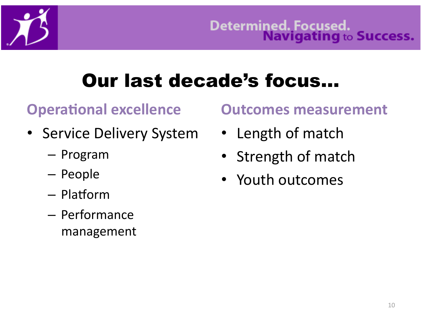# Our last decade's focus…

### **Operational excellence**

- Service Delivery System
	- Program
	- People
	- $-$  Platform
	- Performance management

### **Outcomes
measurement**

- Length of match
- Strength of match
- Youth outcomes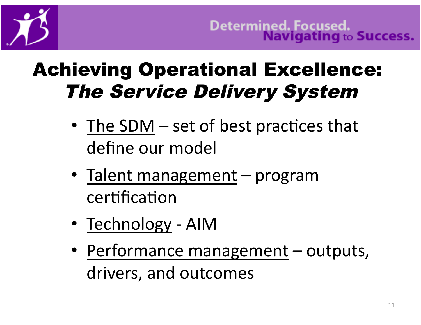

Determined. Focused.<br>Navigating to Success.

### **Achieving Operational Excellence: The Service Delivery System**

- The SDM  $-$  set of best practices that define our model
- Talent management program certification
- Technology AIM
- Performance management outputs, drivers, and outcomes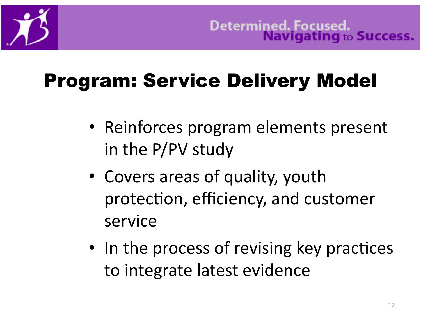# Program: Service Delivery Model

- Reinforces program elements present in
the
P/PV
study
- Covers areas of quality, youth protection, efficiency, and customer service
- In the process of revising key practices to
integrate
latest
evidence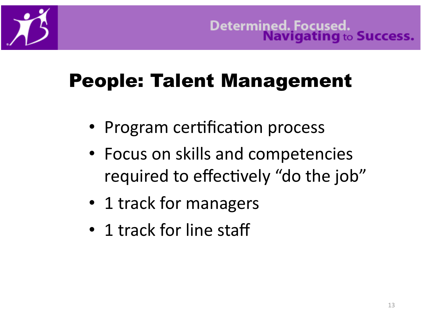

# People: Talent Management

- Program certification process
- Focus on skills and competencies required to effectively "do the job"
- 1 track for managers
- 1 track for line staff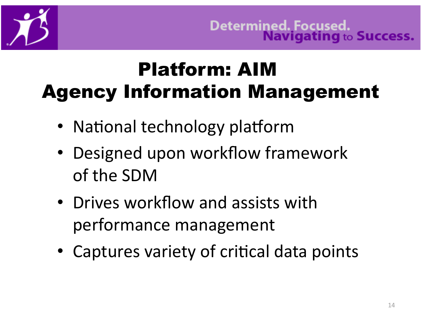

### Platform: AIM Agency Information Management

- National technology platform
- Designed upon workflow framework of
the
SDM
- Drives workflow and assists with performance
management
- Captures variety of critical data points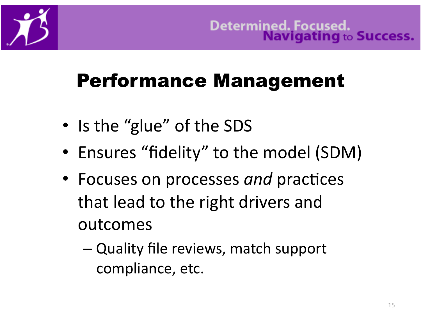

## Performance Management

- Is the "glue" of the SDS
- Ensures "fidelity" to the model (SDM)
- Focuses on processes and practices that
lead
to
the
right
drivers
and outcomes
	- Quality
	file
	reviews,
	match
	support compliance,
	etc.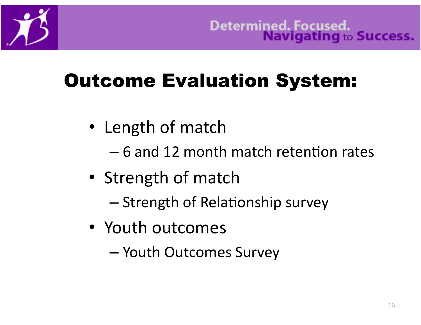# Outcome Evaluation System:

- Length of match
	- $-6$  and 12 month match retention rates
- Strength of match
	- Strength of Relationship survey
- Youth outcomes
	- Youth
	Outcomes
	Survey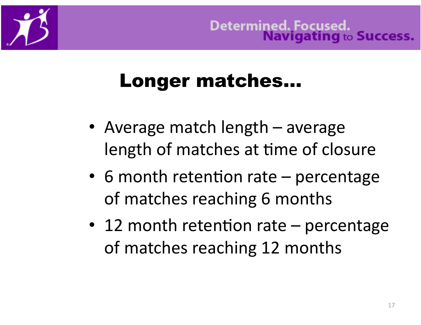### Longer matches…

- Average match length average length of matches at time of closure
- 6 month retention rate percentage of
matches
reaching
6
months
- 12 month retention rate  $-$  percentage of
matches
reaching
12
months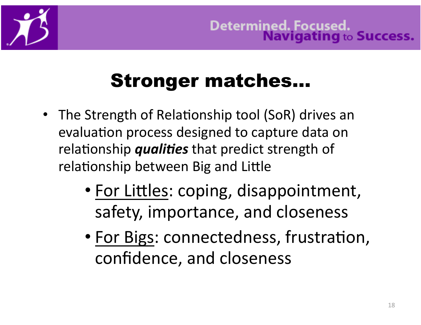

### Stronger matches…

- The Strength of Relationship tool (SoR) drives an evaluation process designed to capture data on relationship *qualities* that predict strength of relationship between Big and Little
	- For Littles: coping, disappointment, safety,
	importance,
	and
	closeness
	- For Bigs: connectedness, frustration, confidence,
	and
	closeness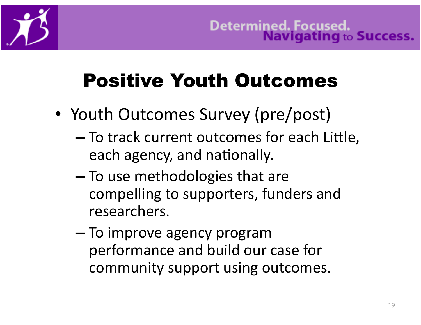

# Positive Youth Outcomes

- Youth Outcomes Survey (pre/post)
	- To track current outcomes for each Little, each agency, and nationally.
	- To
	use
	methodologies
	that
	are compelling
	to
	supporters,
	funders
	and researchers.
	- To
	improve
	agency
	program performance
	and
	build
	our
	case
	for community support using outcomes.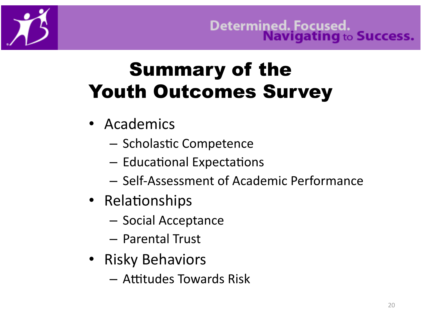

### **Summary of the Youth Outcomes Survey**

- Academics
	- Scholastic Competence
	- Educational Expectations
	- Self-Assessment of Academic Performance
- Relationships
	- Social Acceptance
	- Parental Trust
- Risky Behaviors
	- Attitudes Towards Risk